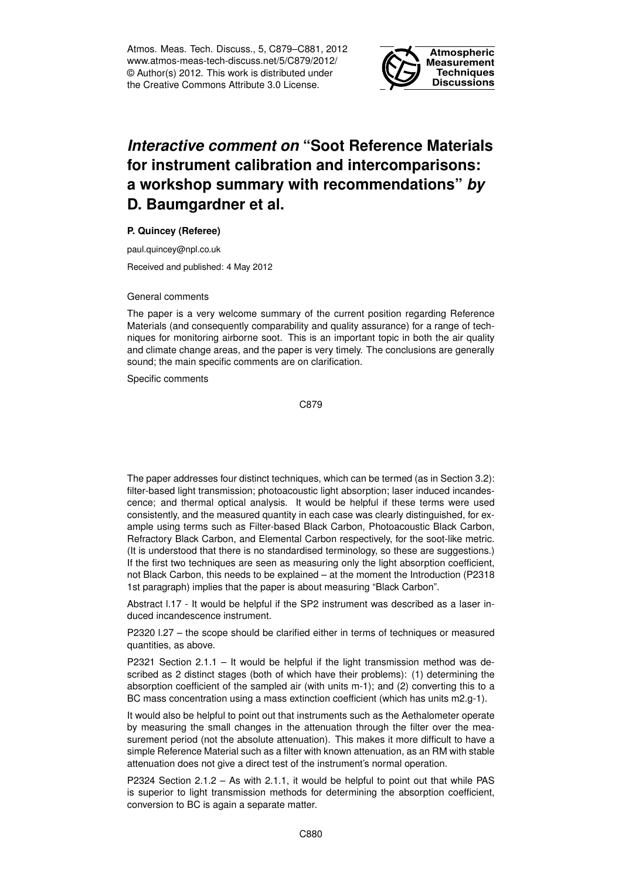Atmos. Meas. Tech. Discuss., 5, C879–C881, 2012 www.atmos-meas-tech-discuss.net/5/C879/2012/ © Author(s) 2012. This work is distributed under the Creative Commons Attribute 3.0 License.



## *Interactive comment on* **"Soot Reference Materials for instrument calibration and intercomparisons: a workshop summary with recommendations"** *by* **D. Baumgardner et al.**

## **P. Quincey (Referee)**

paul.quincey@npl.co.uk

Received and published: 4 May 2012

## General comments

The paper is a very welcome summary of the current position regarding Reference Materials (and consequently comparability and quality assurance) for a range of techniques for monitoring airborne soot. This is an important topic in both the air quality and climate change areas, and the paper is very timely. The conclusions are generally sound; the main specific comments are on clarification.

Specific comments

C879

The paper addresses four distinct techniques, which can be termed (as in Section 3.2): filter-based light transmission; photoacoustic light absorption; laser induced incandescence; and thermal optical analysis. It would be helpful if these terms were used consistently, and the measured quantity in each case was clearly distinguished, for example using terms such as Filter-based Black Carbon, Photoacoustic Black Carbon, Refractory Black Carbon, and Elemental Carbon respectively, for the soot-like metric. (It is understood that there is no standardised terminology, so these are suggestions.) If the first two techniques are seen as measuring only the light absorption coefficient, not Black Carbon, this needs to be explained – at the moment the Introduction (P2318 1st paragraph) implies that the paper is about measuring "Black Carbon".

Abstract l.17 - It would be helpful if the SP2 instrument was described as a laser induced incandescence instrument.

P2320 l.27 – the scope should be clarified either in terms of techniques or measured quantities, as above.

P2321 Section 2.1.1 – It would be helpful if the light transmission method was described as 2 distinct stages (both of which have their problems): (1) determining the absorption coefficient of the sampled air (with units m-1); and (2) converting this to a BC mass concentration using a mass extinction coefficient (which has units m2.g-1).

It would also be helpful to point out that instruments such as the Aethalometer operate by measuring the small changes in the attenuation through the filter over the measurement period (not the absolute attenuation). This makes it more difficult to have a simple Reference Material such as a filter with known attenuation, as an RM with stable attenuation does not give a direct test of the instrument's normal operation.

P2324 Section 2.1.2 – As with 2.1.1, it would be helpful to point out that while PAS is superior to light transmission methods for determining the absorption coefficient, conversion to BC is again a separate matter.